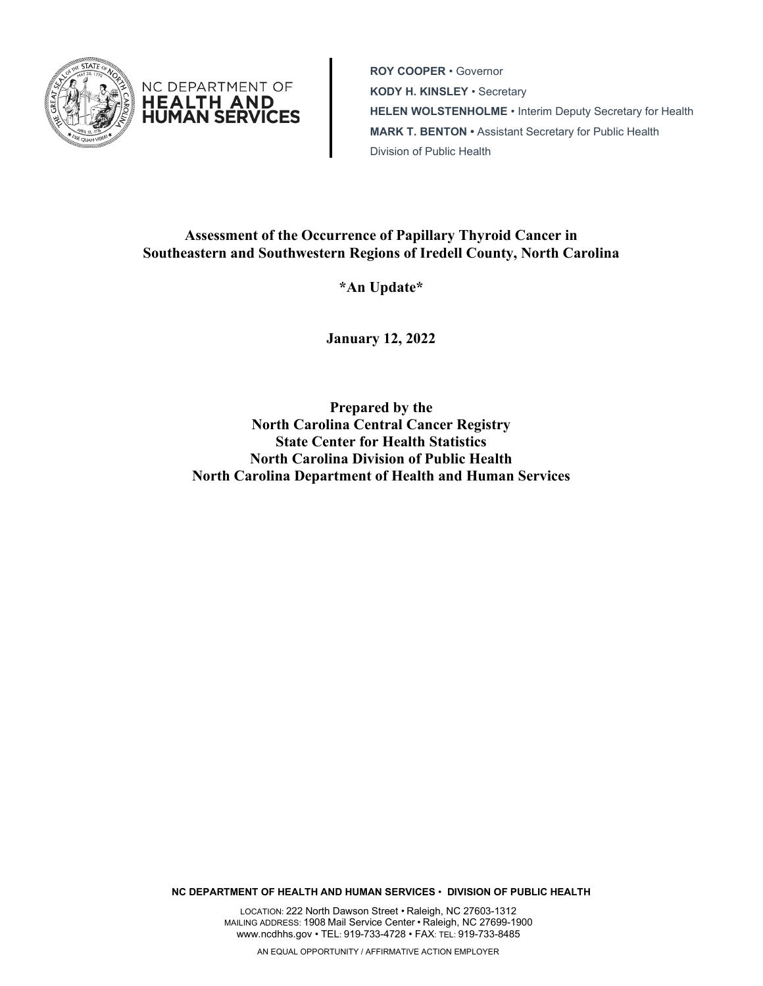

NC DEPARTMENT OF **HEALTH AND HŪMĀN SERVICES** 

**ROY COOPER** • Governor **KODY H. KINSLEY** • Secretary **HELEN WOLSTENHOLME** • Interim Deputy Secretary for Health **MARK T. BENTON •** Assistant Secretary for Public Health Division of Public Health

# **Assessment of the Occurrence of Papillary Thyroid Cancer in Southeastern and Southwestern Regions of Iredell County, North Carolina**

**\*An Update\***

**January 12, 2022**

**Prepared by the North Carolina Central Cancer Registry State Center for Health Statistics North Carolina Division of Public Health North Carolina Department of Health and Human Services**

**NC DEPARTMENT OF HEALTH AND HUMAN SERVICES** • **DIVISION OF PUBLIC HEALTH**

LOCATION: 222 North Dawson Street • Raleigh, NC 27603-1312 MAILING ADDRESS: 1908 Mail Service Center • Raleigh, NC 27699-1900 www.ncdhhs.gov • TEL: 919-733-4728 • FAX: TEL: 919-733-8485

AN EQUAL OPPORTUNITY / AFFIRMATIVE ACTION EMPLOYER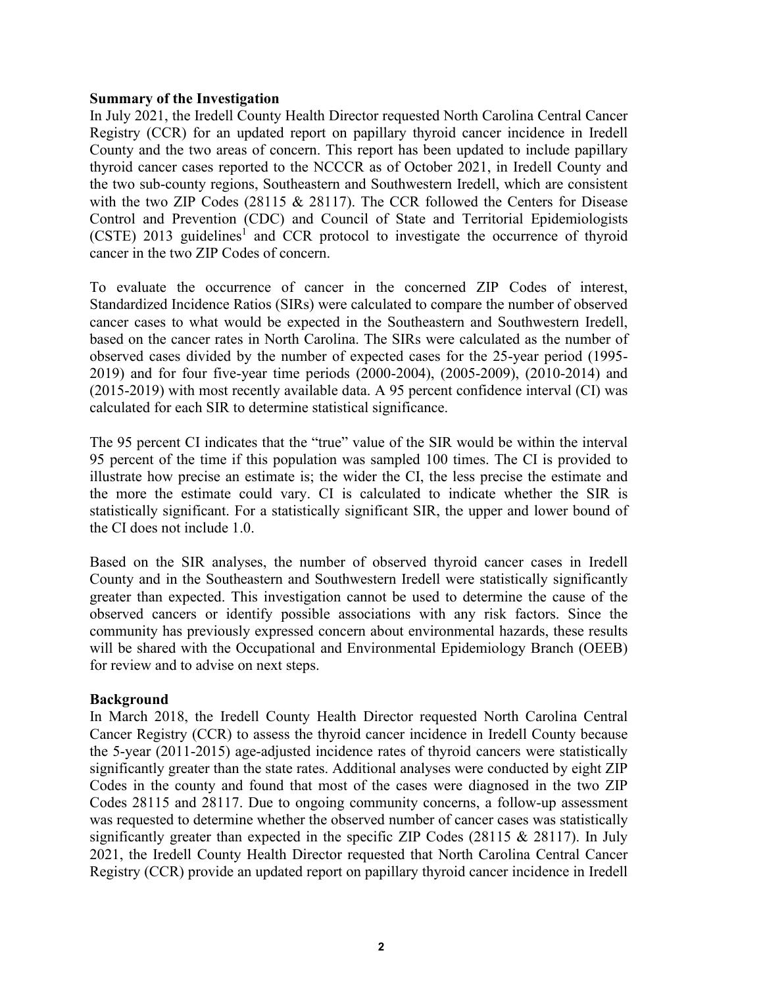#### **Summary of the Investigation**

In July 2021, the Iredell County Health Director requested North Carolina Central Cancer Registry (CCR) for an updated report on papillary thyroid cancer incidence in Iredell County and the two areas of concern. This report has been updated to include papillary thyroid cancer cases reported to the NCCCR as of October 2021, in Iredell County and the two sub-county regions, Southeastern and Southwestern Iredell, which are consistent with the two ZIP Codes (28115 & 28117). The CCR followed the Centers for Disease Control and Prevention (CDC) and Council of State and Territorial Epidemiologists (CSTE) 2013 guidelines<sup>1</sup> and CCR protocol to investigate the occurrence of thyroid cancer in the two ZIP Codes of concern.

To evaluate the occurrence of cancer in the concerned ZIP Codes of interest, Standardized Incidence Ratios (SIRs) were calculated to compare the number of observed cancer cases to what would be expected in the Southeastern and Southwestern Iredell, based on the cancer rates in North Carolina. The SIRs were calculated as the number of observed cases divided by the number of expected cases for the 25-year period (1995- 2019) and for four five-year time periods (2000-2004), (2005-2009), (2010-2014) and (2015-2019) with most recently available data. A 95 percent confidence interval (CI) was calculated for each SIR to determine statistical significance.

The 95 percent CI indicates that the "true" value of the SIR would be within the interval 95 percent of the time if this population was sampled 100 times. The CI is provided to illustrate how precise an estimate is; the wider the CI, the less precise the estimate and the more the estimate could vary. CI is calculated to indicate whether the SIR is statistically significant. For a statistically significant SIR, the upper and lower bound of the CI does not include 1.0.

Based on the SIR analyses, the number of observed thyroid cancer cases in Iredell County and in the Southeastern and Southwestern Iredell were statistically significantly greater than expected. This investigation cannot be used to determine the cause of the observed cancers or identify possible associations with any risk factors. Since the community has previously expressed concern about environmental hazards, these results will be shared with the Occupational and Environmental Epidemiology Branch (OEEB) for review and to advise on next steps.

## **Background**

In March 2018, the Iredell County Health Director requested North Carolina Central Cancer Registry (CCR) to assess the thyroid cancer incidence in Iredell County because the 5-year (2011-2015) age-adjusted incidence rates of thyroid cancers were statistically significantly greater than the state rates. Additional analyses were conducted by eight ZIP Codes in the county and found that most of the cases were diagnosed in the two ZIP Codes 28115 and 28117. Due to ongoing community concerns, a follow-up assessment was requested to determine whether the observed number of cancer cases was statistically significantly greater than expected in the specific ZIP Codes (28115 & 28117). In July 2021, the Iredell County Health Director requested that North Carolina Central Cancer Registry (CCR) provide an updated report on papillary thyroid cancer incidence in Iredell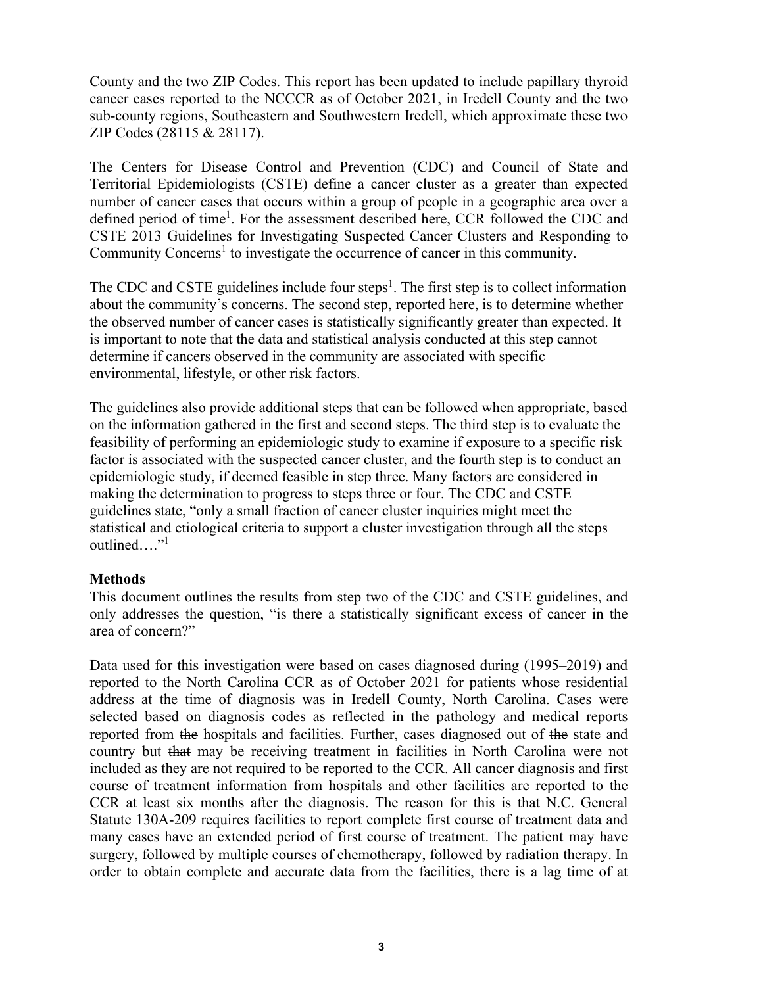County and the two ZIP Codes. This report has been updated to include papillary thyroid cancer cases reported to the NCCCR as of October 2021, in Iredell County and the two sub-county regions, Southeastern and Southwestern Iredell, which approximate these two ZIP Codes (28115 & 28117).

The Centers for Disease Control and Prevention (CDC) and Council of State and Territorial Epidemiologists (CSTE) define a cancer cluster as a greater than expected number of cancer cases that occurs within a group of people in a geographic area over a defined period of time<sup>1</sup>. For the assessment described here, CCR followed the CDC and CSTE 2013 Guidelines for Investigating Suspected Cancer Clusters and Responding to Community Concerns<sup>1</sup> to investigate the occurrence of cancer in this community.

The CDC and CSTE guidelines include four steps<sup>1</sup>. The first step is to collect information about the community's concerns. The second step, reported here, is to determine whether the observed number of cancer cases is statistically significantly greater than expected. It is important to note that the data and statistical analysis conducted at this step cannot determine if cancers observed in the community are associated with specific environmental, lifestyle, or other risk factors.

The guidelines also provide additional steps that can be followed when appropriate, based on the information gathered in the first and second steps. The third step is to evaluate the feasibility of performing an epidemiologic study to examine if exposure to a specific risk factor is associated with the suspected cancer cluster, and the fourth step is to conduct an epidemiologic study, if deemed feasible in step three. Many factors are considered in making the determination to progress to steps three or four. The CDC and CSTE guidelines state, "only a small fraction of cancer cluster inquiries might meet the statistical and etiological criteria to support a cluster investigation through all the steps outlined…."<sup>1</sup>

## **Methods**

This document outlines the results from step two of the CDC and CSTE guidelines, and only addresses the question, "is there a statistically significant excess of cancer in the area of concern?"

Data used for this investigation were based on cases diagnosed during (1995–2019) and reported to the North Carolina CCR as of October 2021 for patients whose residential address at the time of diagnosis was in Iredell County, North Carolina. Cases were selected based on diagnosis codes as reflected in the pathology and medical reports reported from the hospitals and facilities. Further, cases diagnosed out of the state and country but that may be receiving treatment in facilities in North Carolina were not included as they are not required to be reported to the CCR. All cancer diagnosis and first course of treatment information from hospitals and other facilities are reported to the CCR at least six months after the diagnosis. The reason for this is that N.C. General Statute 130A-209 requires facilities to report complete first course of treatment data and many cases have an extended period of first course of treatment. The patient may have surgery, followed by multiple courses of chemotherapy, followed by radiation therapy. In order to obtain complete and accurate data from the facilities, there is a lag time of at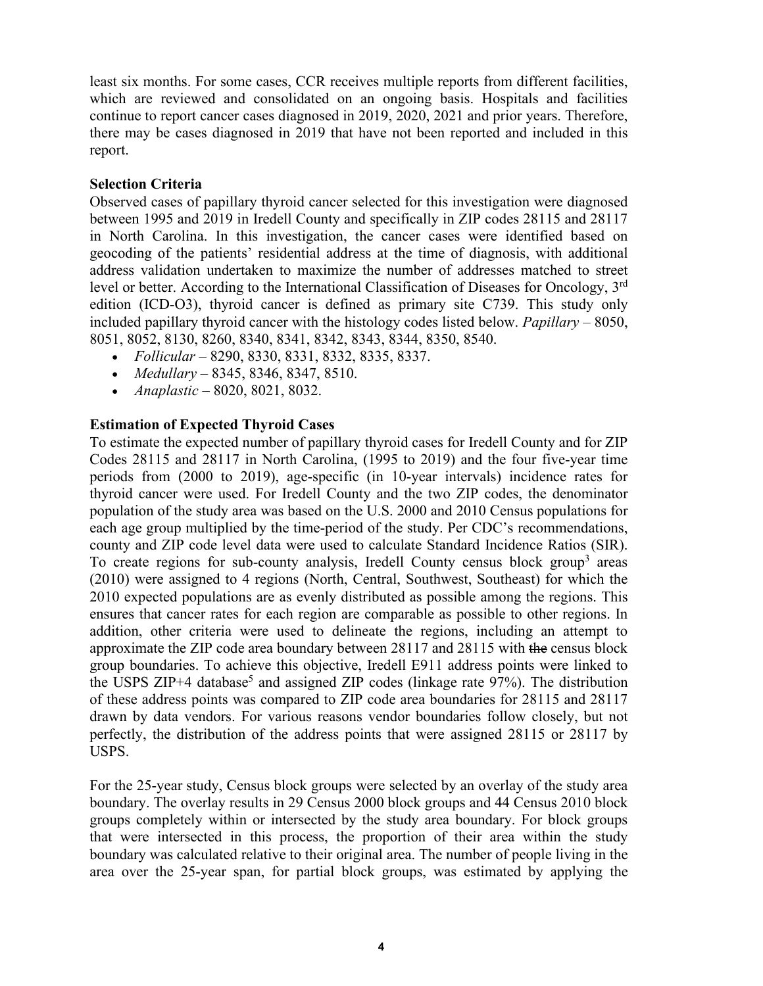least six months. For some cases, CCR receives multiple reports from different facilities, which are reviewed and consolidated on an ongoing basis. Hospitals and facilities continue to report cancer cases diagnosed in 2019, 2020, 2021 and prior years. Therefore, there may be cases diagnosed in 2019 that have not been reported and included in this report.

## **Selection Criteria**

Observed cases of papillary thyroid cancer selected for this investigation were diagnosed between 1995 and 2019 in Iredell County and specifically in ZIP codes 28115 and 28117 in North Carolina. In this investigation, the cancer cases were identified based on geocoding of the patients' residential address at the time of diagnosis, with additional address validation undertaken to maximize the number of addresses matched to street level or better. According to the International Classification of Diseases for Oncology, 3rd edition (ICD-O3), thyroid cancer is defined as primary site C739. This study only included papillary thyroid cancer with the histology codes listed below. *Papillary* – 8050, 8051, 8052, 8130, 8260, 8340, 8341, 8342, 8343, 8344, 8350, 8540.

- *Follicular*  8290, 8330, 8331, 8332, 8335, 8337.
- *Medullary*  8345, 8346, 8347, 8510.
- *Anaplastic*  8020, 8021, 8032.

# **Estimation of Expected Thyroid Cases**

To estimate the expected number of papillary thyroid cases for Iredell County and for ZIP Codes 28115 and 28117 in North Carolina, (1995 to 2019) and the four five-year time periods from (2000 to 2019), age-specific (in 10-year intervals) incidence rates for thyroid cancer were used. For Iredell County and the two ZIP codes, the denominator population of the study area was based on the U.S. 2000 and 2010 Census populations for each age group multiplied by the time-period of the study. Per CDC's recommendations, county and ZIP code level data were used to calculate Standard Incidence Ratios (SIR). To create regions for sub-county analysis, Iredell County census block group<sup>3</sup> areas (2010) were assigned to 4 regions (North, Central, Southwest, Southeast) for which the 2010 expected populations are as evenly distributed as possible among the regions. This ensures that cancer rates for each region are comparable as possible to other regions. In addition, other criteria were used to delineate the regions, including an attempt to approximate the ZIP code area boundary between 28117 and 28115 with the census block group boundaries. To achieve this objective, Iredell E911 address points were linked to the USPS ZIP+4 database<sup>5</sup> and assigned ZIP codes (linkage rate  $97\%$ ). The distribution of these address points was compared to ZIP code area boundaries for 28115 and 28117 drawn by data vendors. For various reasons vendor boundaries follow closely, but not perfectly, the distribution of the address points that were assigned 28115 or 28117 by USPS.

For the 25-year study, Census block groups were selected by an overlay of the study area boundary. The overlay results in 29 Census 2000 block groups and 44 Census 2010 block groups completely within or intersected by the study area boundary. For block groups that were intersected in this process, the proportion of their area within the study boundary was calculated relative to their original area. The number of people living in the area over the 25-year span, for partial block groups, was estimated by applying the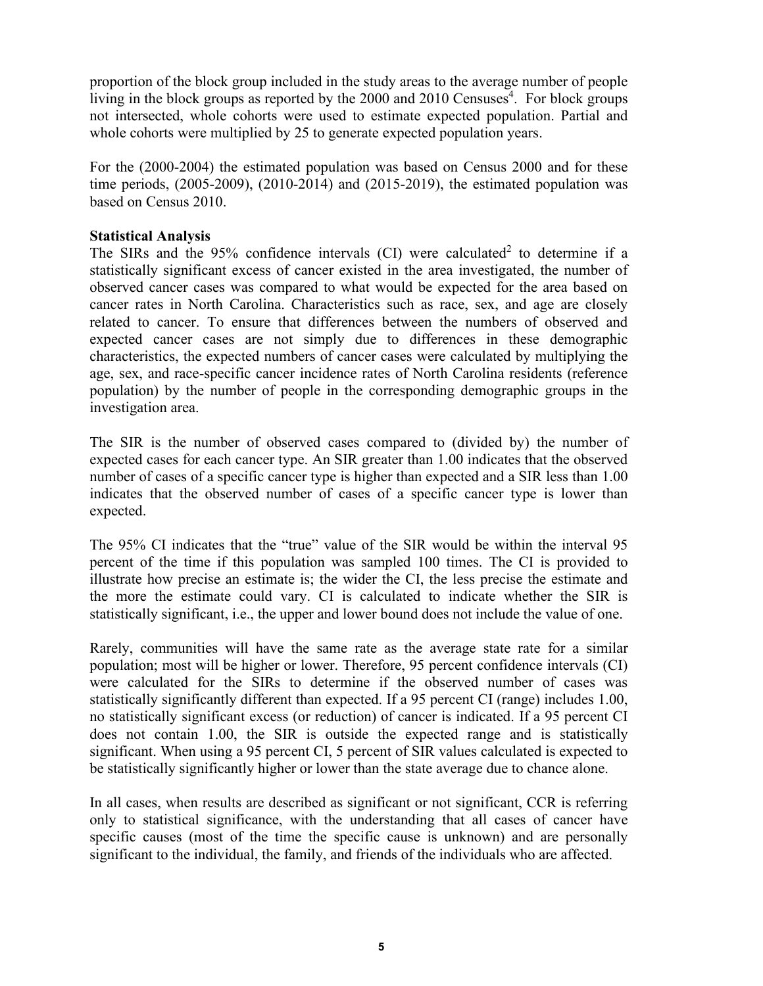proportion of the block group included in the study areas to the average number of people living in the block groups as reported by the 2000 and 2010 Censuses<sup>4</sup>. For block groups not intersected, whole cohorts were used to estimate expected population. Partial and whole cohorts were multiplied by 25 to generate expected population years.

For the (2000-2004) the estimated population was based on Census 2000 and for these time periods, (2005-2009), (2010-2014) and (2015-2019), the estimated population was based on Census 2010.

## **Statistical Analysis**

The SIRs and the  $95\%$  confidence intervals (CI) were calculated<sup>2</sup> to determine if a statistically significant excess of cancer existed in the area investigated, the number of observed cancer cases was compared to what would be expected for the area based on cancer rates in North Carolina. Characteristics such as race, sex, and age are closely related to cancer. To ensure that differences between the numbers of observed and expected cancer cases are not simply due to differences in these demographic characteristics, the expected numbers of cancer cases were calculated by multiplying the age, sex, and race-specific cancer incidence rates of North Carolina residents (reference population) by the number of people in the corresponding demographic groups in the investigation area.

The SIR is the number of observed cases compared to (divided by) the number of expected cases for each cancer type. An SIR greater than 1.00 indicates that the observed number of cases of a specific cancer type is higher than expected and a SIR less than 1.00 indicates that the observed number of cases of a specific cancer type is lower than expected.

The 95% CI indicates that the "true" value of the SIR would be within the interval 95 percent of the time if this population was sampled 100 times. The CI is provided to illustrate how precise an estimate is; the wider the CI, the less precise the estimate and the more the estimate could vary. CI is calculated to indicate whether the SIR is statistically significant, i.e., the upper and lower bound does not include the value of one.

Rarely, communities will have the same rate as the average state rate for a similar population; most will be higher or lower. Therefore, 95 percent confidence intervals (CI) were calculated for the SIRs to determine if the observed number of cases was statistically significantly different than expected. If a 95 percent CI (range) includes 1.00, no statistically significant excess (or reduction) of cancer is indicated. If a 95 percent CI does not contain 1.00, the SIR is outside the expected range and is statistically significant. When using a 95 percent CI, 5 percent of SIR values calculated is expected to be statistically significantly higher or lower than the state average due to chance alone.

In all cases, when results are described as significant or not significant, CCR is referring only to statistical significance, with the understanding that all cases of cancer have specific causes (most of the time the specific cause is unknown) and are personally significant to the individual, the family, and friends of the individuals who are affected.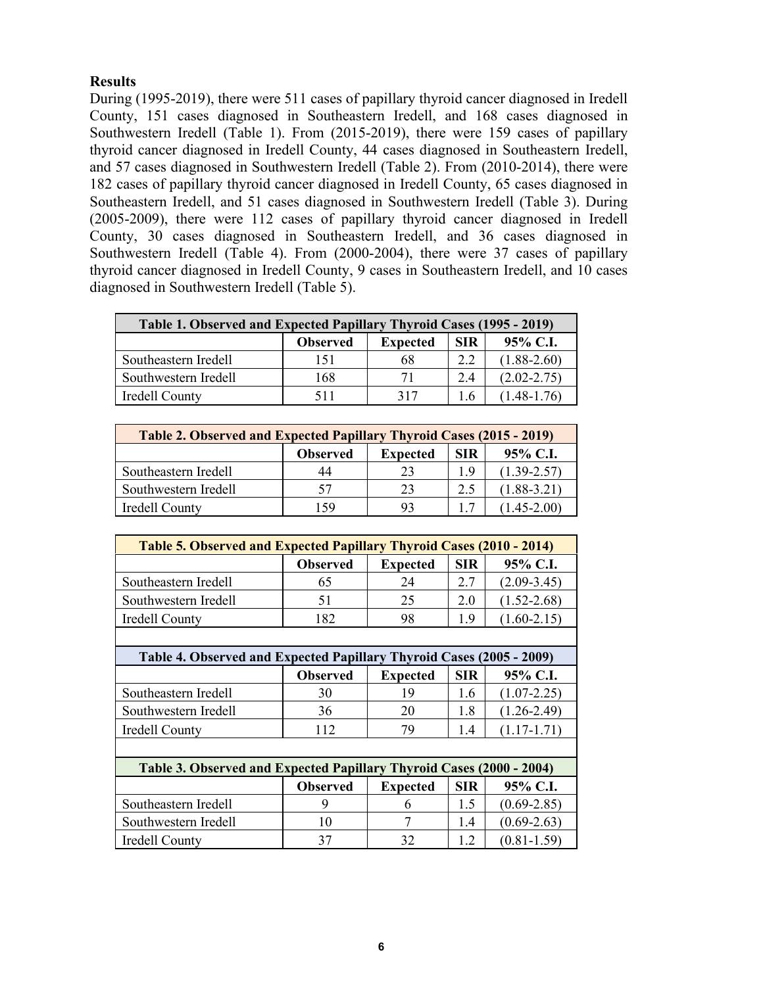# **Results**

During (1995-2019), there were 511 cases of papillary thyroid cancer diagnosed in Iredell County, 151 cases diagnosed in Southeastern Iredell, and 168 cases diagnosed in Southwestern Iredell (Table 1). From (2015-2019), there were 159 cases of papillary thyroid cancer diagnosed in Iredell County, 44 cases diagnosed in Southeastern Iredell, and 57 cases diagnosed in Southwestern Iredell (Table 2). From (2010-2014), there were 182 cases of papillary thyroid cancer diagnosed in Iredell County, 65 cases diagnosed in Southeastern Iredell, and 51 cases diagnosed in Southwestern Iredell (Table 3). During (2005-2009), there were 112 cases of papillary thyroid cancer diagnosed in Iredell County, 30 cases diagnosed in Southeastern Iredell, and 36 cases diagnosed in Southwestern Iredell (Table 4). From (2000-2004), there were 37 cases of papillary thyroid cancer diagnosed in Iredell County, 9 cases in Southeastern Iredell, and 10 cases diagnosed in Southwestern Iredell (Table 5).

| Table 1. Observed and Expected Papillary Thyroid Cases (1995 - 2019) |                 |                 |            |                 |
|----------------------------------------------------------------------|-----------------|-----------------|------------|-----------------|
|                                                                      | <b>Observed</b> | <b>Expected</b> | <b>SIR</b> | $95\%$ C.I.     |
| Southeastern Iredell                                                 | 151             | 68              | 2.2        | $(1.88 - 2.60)$ |
| Southwestern Iredell                                                 | 168             | 71              | 2.4        | $(2.02 - 2.75)$ |
| Iredell County                                                       | 511             | 317             | Lб         | $(1.48 - 1.76)$ |

| Table 2. Observed and Expected Papillary Thyroid Cases (2015 - 2019) |                 |                 |            |                 |
|----------------------------------------------------------------------|-----------------|-----------------|------------|-----------------|
|                                                                      | <b>Observed</b> | <b>Expected</b> | <b>SIR</b> | 95% C.I.        |
| Southeastern Iredell                                                 | 44              | 23              | 1.9        | $(1.39 - 2.57)$ |
| Southwestern Iredell                                                 |                 | 23              | 2.5        | $(1.88 - 3.21)$ |
| Iredell County                                                       | 159             |                 |            | $1.45 - 2.00$   |

| Table 5. Observed and Expected Papillary Thyroid Cases (2010 - 2014) |                 |                 |            |                 |
|----------------------------------------------------------------------|-----------------|-----------------|------------|-----------------|
|                                                                      | <b>Observed</b> | <b>Expected</b> | <b>SIR</b> | 95% C.I.        |
| Southeastern Iredell                                                 | 65              | 24              | 2.7        | $(2.09 - 3.45)$ |
| Southwestern Iredell                                                 | 51              | 25              | 2.0        | $(1.52 - 2.68)$ |
| Iredell County                                                       | 182             | 98              | 1.9        | $(1.60 - 2.15)$ |
|                                                                      |                 |                 |            |                 |

| Table 4. Observed and Expected Papillary Thyroid Cases (2005 - 2009) |                 |                 |      |                 |
|----------------------------------------------------------------------|-----------------|-----------------|------|-----------------|
|                                                                      | <b>Observed</b> | <b>Expected</b> | SIR. | 95% C.I.        |
| Southeastern Iredell                                                 | 30              | 19              | 1.6  | $(1.07 - 2.25)$ |
| Southwestern Iredell                                                 | 36              | 20              | 1.8  | $(1.26 - 2.49)$ |
| Iredell County                                                       | 112             | 79              | 1.4  | $(1.17-1.71)$   |
|                                                                      |                 |                 |      |                 |
| Table 3. Observed and Expected Papillary Thyroid Cases (2000 - 2004) |                 |                 |      |                 |

| Table 5. Observed and Expected Fabiliary Thyroid Cases (2000 - 2004) |                 |                 |            |                 |
|----------------------------------------------------------------------|-----------------|-----------------|------------|-----------------|
|                                                                      | <b>Observed</b> | <b>Expected</b> | <b>SIR</b> | $95\%$ C.I.     |
| Southeastern Iredell                                                 |                 |                 |            | $(0.69 - 2.85)$ |
| Southwestern Iredell                                                 | 10              |                 | 1.4        | $(0.69 - 2.63)$ |
| Iredell County                                                       | 37              | 30              |            | $(0.81 - 1.59)$ |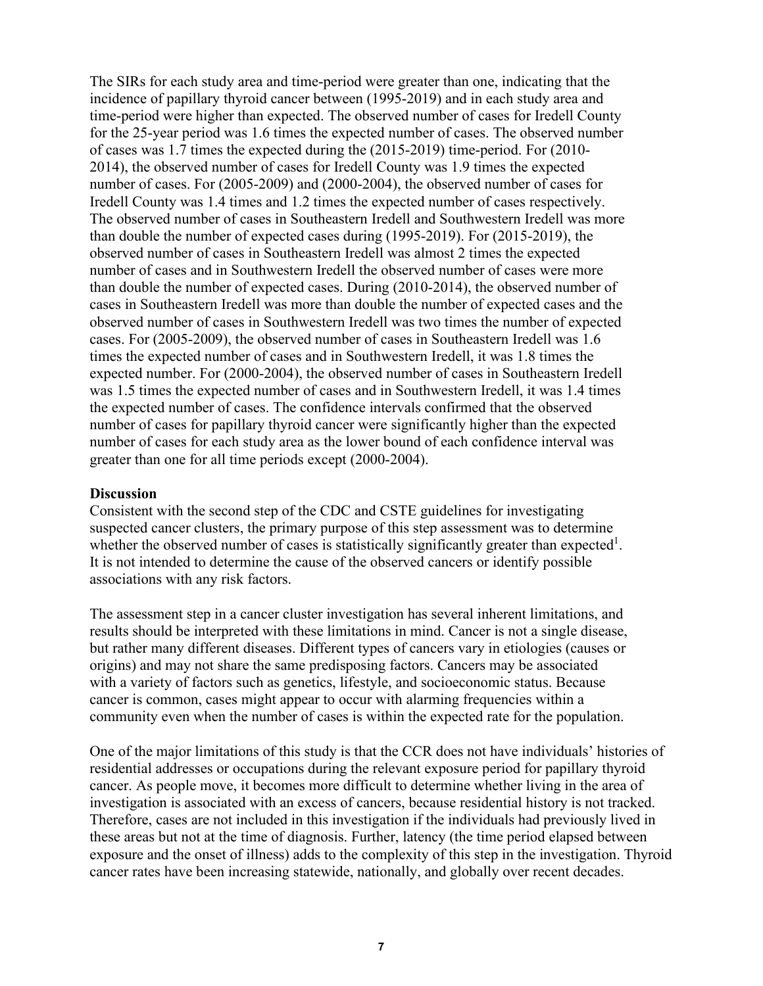The SIRs for each study area and time-period were greater than one, indicating that the incidence of papillary thyroid cancer between (1995-2019) and in each study area and time-period were higher than expected. The observed number of cases for Iredell County for the 25-year period was 1.6 times the expected number of cases. The observed number of cases was 1.7 times the expected during the (2015-2019) time-period. For (2010- 2014), the observed number of cases for Iredell County was 1.9 times the expected number of cases. For (2005-2009) and (2000-2004), the observed number of cases for Iredell County was 1.4 times and 1.2 times the expected number of cases respectively. The observed number of cases in Southeastern Iredell and Southwestern Iredell was more than double the number of expected cases during (1995-2019). For (2015-2019), the observed number of cases in Southeastern Iredell was almost 2 times the expected number of cases and in Southwestern Iredell the observed number of cases were more than double the number of expected cases. During (2010-2014), the observed number of cases in Southeastern Iredell was more than double the number of expected cases and the observed number of cases in Southwestern Iredell was two times the number of expected cases. For (2005-2009), the observed number of cases in Southeastern Iredell was 1.6 times the expected number of cases and in Southwestern Iredell, it was 1.8 times the expected number. For (2000-2004), the observed number of cases in Southeastern Iredell was 1.5 times the expected number of cases and in Southwestern Iredell, it was 1.4 times the expected number of cases. The confidence intervals confirmed that the observed number of cases for papillary thyroid cancer were significantly higher than the expected number of cases for each study area as the lower bound of each confidence interval was greater than one for all time periods except (2000-2004).

#### **Discussion**

Consistent with the second step of the CDC and CSTE guidelines for investigating suspected cancer clusters, the primary purpose of this step assessment was to determine whether the observed number of cases is statistically significantly greater than expected<sup>1</sup>. It is not intended to determine the cause of the observed cancers or identify possible associations with any risk factors.

The assessment step in a cancer cluster investigation has several inherent limitations, and results should be interpreted with these limitations in mind. Cancer is not a single disease, but rather many different diseases. Different types of cancers vary in etiologies (causes or origins) and may not share the same predisposing factors. Cancers may be associated with a variety of factors such as genetics, lifestyle, and socioeconomic status. Because cancer is common, cases might appear to occur with alarming frequencies within a community even when the number of cases is within the expected rate for the population.

One of the major limitations of this study is that the CCR does not have individuals' histories of residential addresses or occupations during the relevant exposure period for papillary thyroid cancer. As people move, it becomes more difficult to determine whether living in the area of investigation is associated with an excess of cancers, because residential history is not tracked. Therefore, cases are not included in this investigation if the individuals had previously lived in these areas but not at the time of diagnosis. Further, latency (the time period elapsed between exposure and the onset of illness) adds to the complexity of this step in the investigation. Thyroid cancer rates have been increasing statewide, nationally, and globally over recent decades.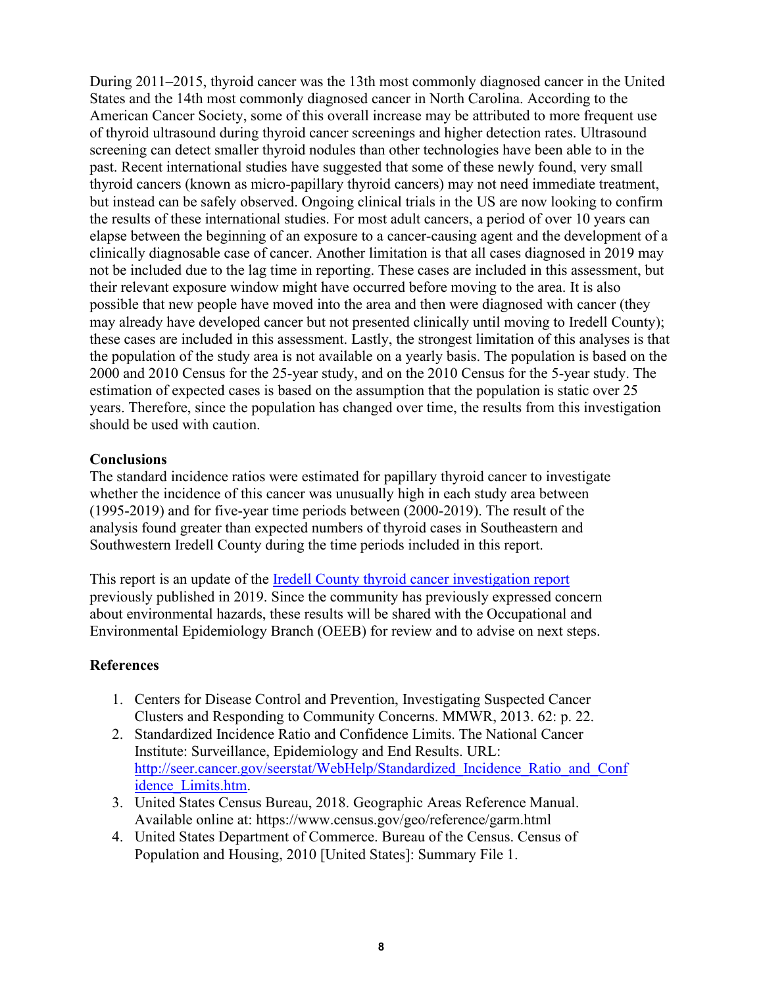During 2011–2015, thyroid cancer was the 13th most commonly diagnosed cancer in the United States and the 14th most commonly diagnosed cancer in North Carolina. According to the American Cancer Society, some of this overall increase may be attributed to more frequent use of thyroid ultrasound during thyroid cancer screenings and higher detection rates. Ultrasound screening can detect smaller thyroid nodules than other technologies have been able to in the past. Recent international studies have suggested that some of these newly found, very small thyroid cancers (known as micro-papillary thyroid cancers) may not need immediate treatment, but instead can be safely observed. Ongoing clinical trials in the US are now looking to confirm the results of these international studies. For most adult cancers, a period of over 10 years can elapse between the beginning of an exposure to a cancer-causing agent and the development of a clinically diagnosable case of cancer. Another limitation is that all cases diagnosed in 2019 may not be included due to the lag time in reporting. These cases are included in this assessment, but their relevant exposure window might have occurred before moving to the area. It is also possible that new people have moved into the area and then were diagnosed with cancer (they may already have developed cancer but not presented clinically until moving to Iredell County); these cases are included in this assessment. Lastly, the strongest limitation of this analyses is that the population of the study area is not available on a yearly basis. The population is based on the 2000 and 2010 Census for the 25-year study, and on the 2010 Census for the 5-year study. The estimation of expected cases is based on the assumption that the population is static over 25 years. Therefore, since the population has changed over time, the results from this investigation should be used with caution.

## **Conclusions**

The standard incidence ratios were estimated for papillary thyroid cancer to investigate whether the incidence of this cancer was unusually high in each study area between (1995-2019) and for five-year time periods between (2000-2019). The result of the analysis found greater than expected numbers of thyroid cases in Southeastern and Southwestern Iredell County during the time periods included in this report.

This report is an update of the <u>Iredell County thyroid cancer investigation report</u> previously published in 2019. Since the community has previously expressed concern about environmental hazards, these results will be shared with the Occupational and Environmental Epidemiology Branch (OEEB) for review and to advise on next steps.

## **References**

- 1. Centers for Disease Control and Prevention, Investigating Suspected Cancer Clusters and Responding to Community Concerns. MMWR, 2013. 62: p. 22.
- 2. Standardized Incidence Ratio and Confidence Limits. The National Cancer Institute: Surveillance, Epidemiology and End Results. URL: [http://seer.cancer.gov/seerstat/WebHelp/Standardized\\_Incidence\\_Ratio\\_and\\_Conf](http://seer.cancer.gov/seerstat/WebHelp/Standardized_Incidence_Ratio_and_Confidence_Limits.htm) [idence\\_Limits.htm.](http://seer.cancer.gov/seerstat/WebHelp/Standardized_Incidence_Ratio_and_Confidence_Limits.htm)
- 3. United States Census Bureau, 2018. Geographic Areas Reference Manual. Available online at: https://www.census.gov/geo/reference/garm.html
- 4. United States Department of Commerce. Bureau of the Census. Census of Population and Housing, 2010 [United States]: Summary File 1.